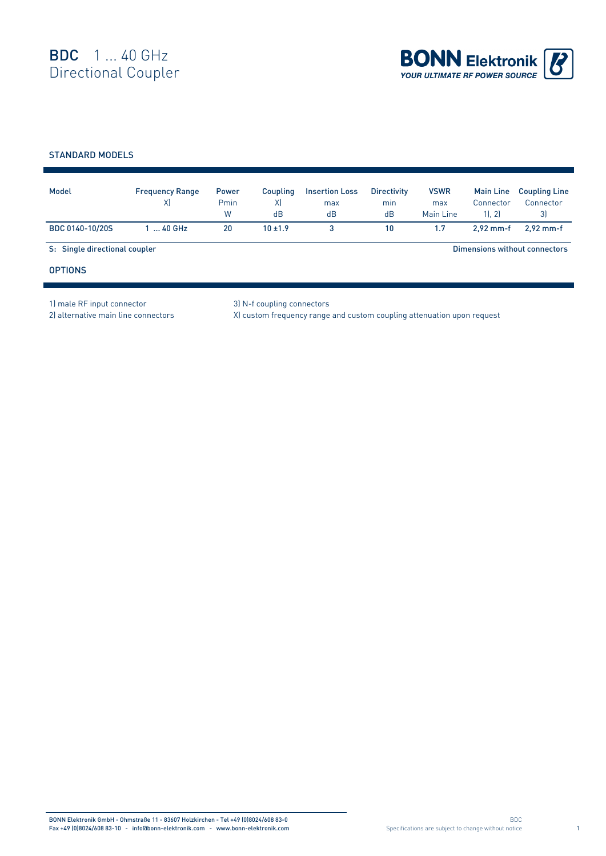

## STANDARD MODELS

|                               |           | Pmin<br>W | X)<br>dB   | max<br>dB | min<br>dB | max<br>Main Line              | Connector<br>1, 2 | <b>Coupling Line</b><br>Connector<br>3) |
|-------------------------------|-----------|-----------|------------|-----------|-----------|-------------------------------|-------------------|-----------------------------------------|
| BDC 0140-10/20S               | $140$ GHz | 20        | $10 + 1.9$ | 3         | 10        | 1.7                           | $2.92$ mm-f       | $2.92$ mm-f                             |
| S: Single directional coupler |           |           |            |           |           | Dimensions without connectors |                   |                                         |
| <b>OPTIONS</b>                |           |           |            |           |           |                               |                   |                                         |

1) male RF input connector 3) N-f coupling connectors

2) alternative main line connectors X) custom frequency range and custom coupling attenuation upon request